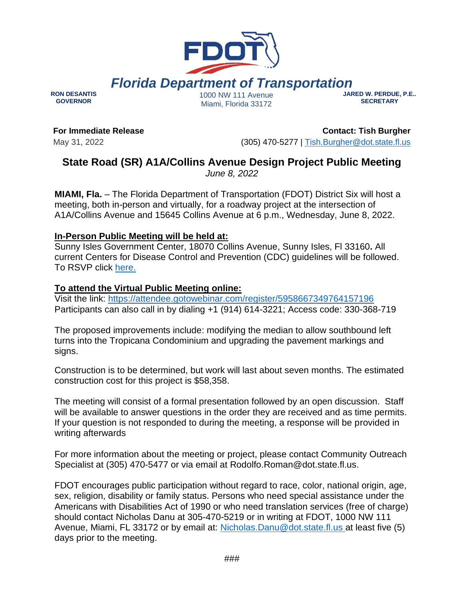

**RON DESANTIS GOVERNOR**

Miami, Florida 33172

**JARED W. PERDUE, P.E.. SECRETARY**

**For Immediate Release** May 31, 2022

**Contact: Tish Burgher** (305) 470-5277 | [Tish.Burgher@dot.state.fl.us](mailto:Tish.Burgher@dot.state.fl.us)

## **State Road (SR) A1A/Collins Avenue Design Project Public Meeting** *June 8, 2022*

**MIAMI, Fla.** – The Florida Department of Transportation (FDOT) District Six will host a meeting, both in-person and virtually, for a roadway project at the intersection of A1A/Collins Avenue and 15645 Collins Avenue at 6 p.m., Wednesday, June 8, 2022.

## **In-Person Public Meeting will be held at:**

Sunny Isles Government Center, 18070 Collins Avenue, Sunny Isles, Fl 33160**.** All current Centers for Disease Control and Prevention (CDC) guidelines will be followed. To RSVP click [here.](https://www.fdotmiamidade.com/design-projects/beaches/sr-a1acollins-ave-at-15645-collins-ave-intersection.html)

## **To attend the Virtual Public Meeting online:**

Visit the link: <https://attendee.gotowebinar.com/register/5958667349764157196> Participants can also call in by dialing +1 (914) 614-3221; Access code: 330-368-719

The proposed improvements include: modifying the median to allow southbound left turns into the Tropicana Condominium and upgrading the pavement markings and signs.

Construction is to be determined, but work will last about seven months. The estimated construction cost for this project is \$58,358.

The meeting will consist of a formal presentation followed by an open discussion. Staff will be available to answer questions in the order they are received and as time permits. If your question is not responded to during the meeting, a response will be provided in writing afterwards

For more information about the meeting or project, please contact Community Outreach Specialist at (305) 470-5477 or via email at Rodolfo.Roman@dot.state.fl.us.

FDOT encourages public participation without regard to race, color, national origin, age, sex, religion, disability or family status. Persons who need special assistance under the Americans with Disabilities Act of 1990 or who need translation services (free of charge) should contact Nicholas Danu at 305-470-5219 or in writing at FDOT, 1000 NW 111 Avenue, Miami, FL 33172 or by email at: [Nicholas.Danu@dot.state.fl.us a](file:///C:/Users/malzate/AppData/Local/Microsoft/Windows/INetCache/Content.Outlook/FH9QQND0/Nicholas.Danu@dot.state.fl.us)t least five (5) days prior to the meeting.